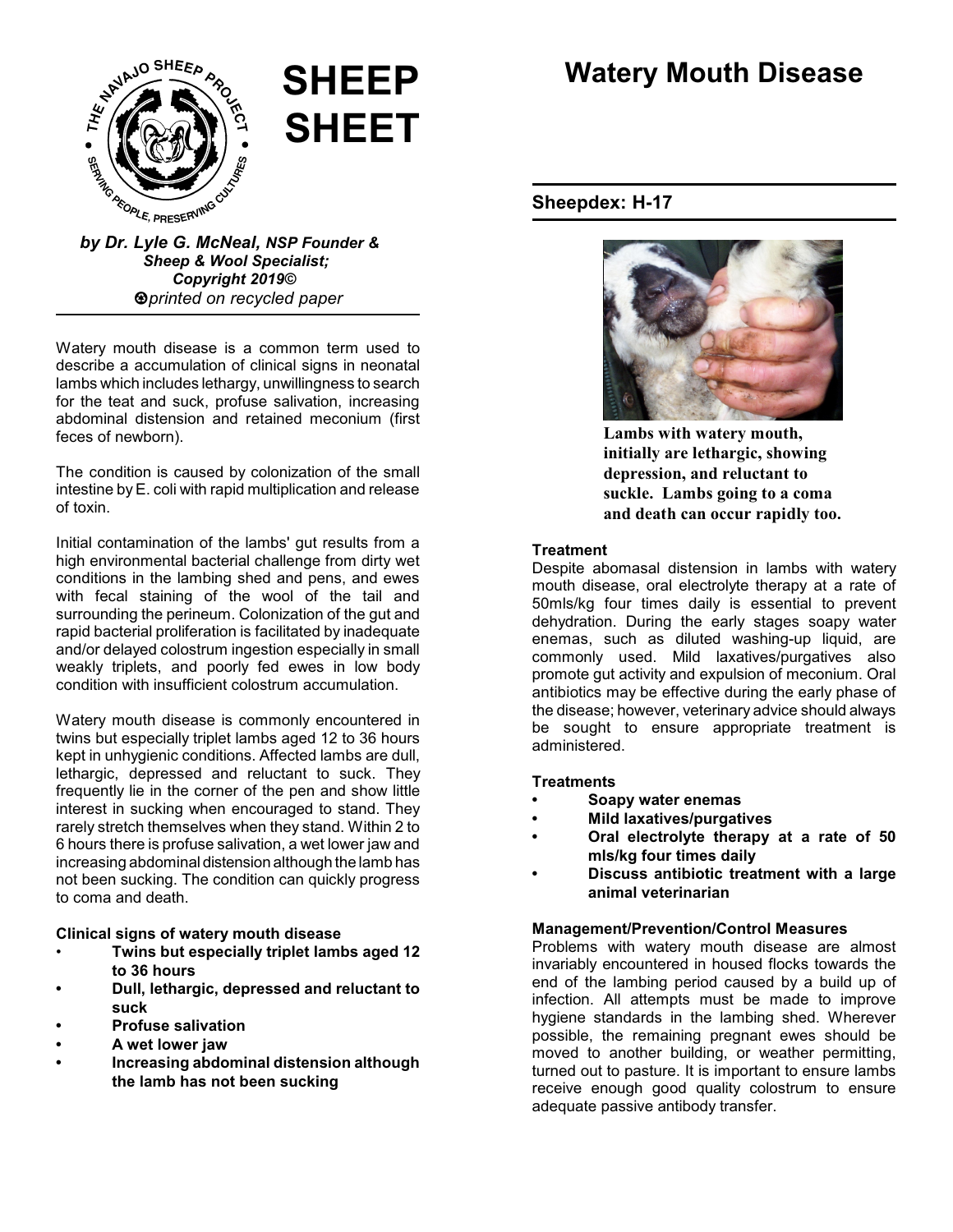

# **SHEEP SHEET**

# *Sheep & Wool Specialist; Copyright 2019© printed on recycled paper*

Watery mouth disease is a common term used to describe a accumulation of clinical signs in neonatal lambs which includes lethargy, unwillingness to search for the teat and suck, profuse salivation, increasing abdominal distension and retained meconium (first feces of newborn).

The condition is caused by colonization of the small intestine by E. coli with rapid multiplication and release of toxin.

Initial contamination of the lambs' gut results from a high environmental bacterial challenge from dirty wet conditions in the lambing shed and pens, and ewes with fecal staining of the wool of the tail and surrounding the perineum. Colonization of the gut and rapid bacterial proliferation is facilitated by inadequate and/or delayed colostrum ingestion especially in small weakly triplets, and poorly fed ewes in low body condition with insufficient colostrum accumulation.

Watery mouth disease is commonly encountered in twins but especially triplet lambs aged 12 to 36 hours kept in unhygienic conditions. Affected lambs are dull, lethargic, depressed and reluctant to suck. They frequently lie in the corner of the pen and show little interest in sucking when encouraged to stand. They rarely stretch themselves when they stand. Within 2 to 6 hours there is profuse salivation, a wet lower jaw and increasing abdominal distension although the lamb has not been sucking. The condition can quickly progress to coma and death.

**Clinical signs of watery mouth disease**

- **Twins but especially triplet lambs aged 12 to 36 hours**
- **• Dull, lethargic, depressed and reluctant to suck**
- **• Profuse salivation**
- **• A wet lower jaw**
- **• Increasing abdominal distension although the lamb has not been sucking**

# **Watery Mouth Disease**

## **Sheepdex: H-17**



**Lambs with watery mouth, initially are lethargic, showing depression, and reluctant to suckle. Lambs going to a coma and death can occur rapidly too.**

#### **Treatment**

Despite abomasal distension in lambs with watery mouth disease, oral electrolyte therapy at a rate of 50mls/kg four times daily is essential to prevent dehydration. During the early stages soapy water enemas, such as diluted washing-up liquid, are commonly used. Mild laxatives/purgatives also promote gut activity and expulsion of meconium. Oral antibiotics may be effective during the early phase of the disease; however, veterinary advice should always be sought to ensure appropriate treatment is administered.

#### **Treatments**

- **• Soapy water enemas**
- **• Mild laxatives/purgatives**
- **• Oral electrolyte therapy at a rate of 50 mls/kg four times daily**
- **• Discuss antibiotic treatment with a large animal veterinarian**

### **Management/Prevention/Control Measures**

Problems with watery mouth disease are almost invariably encountered in housed flocks towards the end of the lambing period caused by a build up of infection. All attempts must be made to improve hygiene standards in the lambing shed. Wherever possible, the remaining pregnant ewes should be moved to another building, or weather permitting, turned out to pasture. It is important to ensure lambs receive enough good quality colostrum to ensure adequate passive antibody transfer.